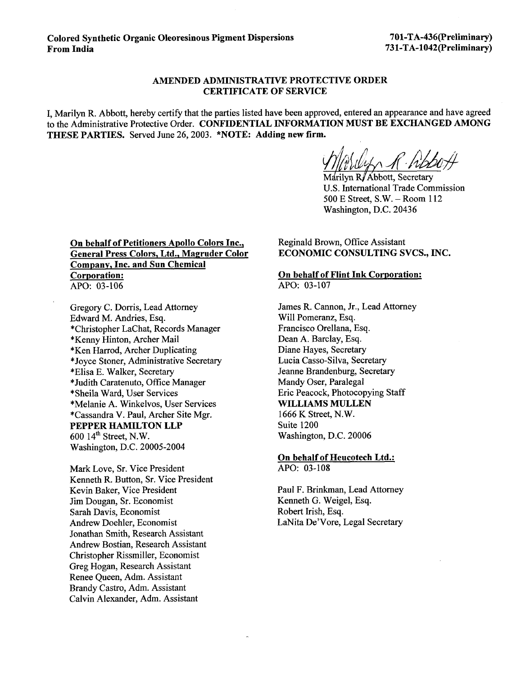## **AMENDED ADMINISTRATIVE PROTECTIVE ORDER CERTIFICATE OF SERVICE**

I, Marilyn R. Abbott, hereby certify that the parties listed have been approved, entered an appearance and have agreed to the Administrative Protective Order. **CONFIDENTIAL INFORMATION MUST BE EXCHANGED AMONG THESE PARTIES.** Served June 26,2003. **\*NOTE: Adding new firm.** 

Marilyn R/Abbott, Secretary U.S. International Trade Commission 500 E Street, S.W. - Room 112 Washington, D.C. 20436

**On behalf of Petitioners Apollo Colors Inc., General Press Colors, Ltd., Mapruder Color Company, Inc. and Sun Chemical Corporation:**  *APO:* 03-106

Gregory C. Dorris, Lead Attorney Edward M. Andries, Esq. \*Christopher LaChat, Records Manager \*Kenny Hinton, Archer Mail \*Ken Harrod, Archer Duplicating \*Joyce Stoner, Administrative Secretary \*Elisa E. Walker, Secretary \*Judith Caratenuto, Office Manager \*Sheila Ward, User Services \*Melanie **A.** Winkelvos, User Services \*Cassandra V. Paul, Archer Site Mgr. **PEPPER HAMILTON LLP**  600 14\* Street, N.W. Washington, D.C. 20005-2004

Mark Love, Sr. Vice President Kenneth R. Button, Sr. Vice President Kevin Baker, Vice President Jim Dougan, Sr. Economist Sarah Davis, Economist Andrew Doehler, Economist Jonathan Smith, Research Assistant Andrew Bostian, Research Assistant Christopher Rissmiller, Economist Greg Hogan, Research Assistant Renee Queen, Adm. Assistant Brandy Castro, Adm. Assistant Calvin Alexander, Adm. Assistant

Reginald Brown, Office Assistant **ECONOMIC CONSULTING SVCS., INC.** 

**On behalf of Flint Ink Corporation:**  APO: 03-107

James R. Cannon, Jr., Lead Attorney Will Pomeranz, Esq. Francisco Orellana, Esq. Dean **A.** Barclay, Esq. Diane Hayes, Secretary Lucia Casso-Silva, Secretary Jeanne Brandenburg, Secretary Mandy Oser, Paralegal Eric Peacock, Photocopying Staff **WILLIAMS MULLEN**  1666 K Street, N.W. Suite 1200 Washington, D.C. 20006

**On behalf of Heucotech Ltd.:**  *APO:* 03-108

Paul F. Brinkman, Lead Attorney Kenneth G. Weigel, Esq. Robert Irish, Esq. LaNita De'Vore, Legal Secretary